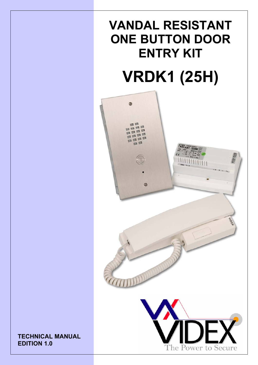# **VANDAL RESISTANT ONE BUTTON DOOR ENTRY KIT**



**TECHNICAL MANUAL EDITION 1.0**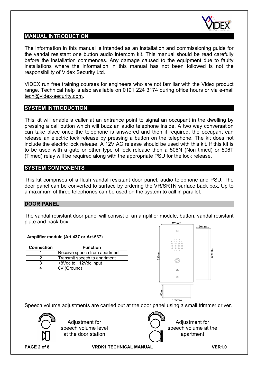

#### **MANUAL INTRODUCTION**

The information in this manual is intended as an installation and commissioning guide for the vandal resistant one button audio intercom kit. This manual should be read carefully before the installation commences. Any damage caused to the equipment due to faulty installations where the information in this manual has not been followed is not the responsibility of Videx Security Ltd.

VIDEX run free training courses for engineers who are not familiar with the Videx product range. Technical help is also available on 0191 224 3174 during office hours or via e-mail tech@videx-security.com.

#### **SYSTEM INTRODUCTION**

This kit will enable a caller at an entrance point to signal an occupant in the dwelling by pressing a call button which will buzz an audio telephone inside. A two way conversation can take place once the telephone is answered and then if required, the occupant can release an electric lock release by pressing a button on the telephone. The kit does not include the electric lock release. A 12V AC release should be used with this kit. If this kit is to be used with a gate or other type of lock release then a 506N (Non timed) or 506T (Timed) relay will be required along with the appropriate PSU for the lock release.

#### **SYSTEM COMPONENTS**

This kit comprises of a flush vandal resistant door panel, audio telephone and PSU. The door panel can be converted to surface by ordering the VR/SR1N surface back box. Up to a maximum of three telephones can be used on the system to call in parallel.

#### **DOOR PANEL**

The vandal resistant door panel will consist of an amplifier module, button, vandal resistant plate and back box.

| plate and back box. |                                                                                           |          | 125mm                                  | 50mm              |
|---------------------|-------------------------------------------------------------------------------------------|----------|----------------------------------------|-------------------|
|                     | Amplifier module (Art.437 or Art.537)                                                     |          | ⊕<br>o o<br>$\circ$ $\circ$            |                   |
| <b>Connection</b>   | <b>Function</b>                                                                           |          | $\circ$ $\circ$                        |                   |
|                     | Receive speech from apartment                                                             |          | o o                                    | 200 <sub>mm</sub> |
| $\overline{2}$      | Transmit speech to apartment                                                              | $220$ mm |                                        |                   |
| 3                   | +8Vdc to +12Vdc input                                                                     |          |                                        |                   |
| 4                   | 0V (Ground)                                                                               |          | 2                                      |                   |
|                     |                                                                                           |          | $^{\circledR}$                         |                   |
|                     |                                                                                           |          | 50 <sub>mm</sub>                       |                   |
|                     | Speech volume adjustments are carried out at the door panel using a small trimmer driver. |          | 105mm                                  |                   |
|                     | Adjustment for<br>speech volume level<br>at the door station                              |          | Adjustment for<br>speech volume at the | apartment         |

**PAGE 2 of 8 VRDK1 TECHNICAL MANUAL VER1.0**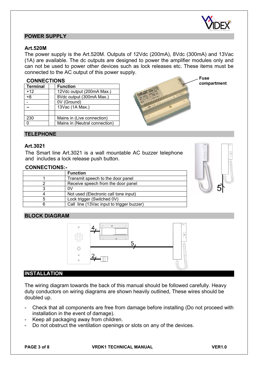

#### **POWER SUPPLY**

#### **Art.520M**

The power supply is the Art.520M. Outputs of 12Vdc (200mA), 8Vdc (300mA) and 13Vac (1A) are available. The dc outputs are designed to power the amplifier modules only and can not be used to power other devices such as lock releases etc. These items must be connected to the AC output of this power supply.

#### **CONNECTIONS**

| Terminal | <b>Function</b>               |
|----------|-------------------------------|
| $+12$    | 12Vdc output (200mA Max.)     |
| +8       | 8Vdc output (300mA Max.)      |
|          | 0V (Ground)                   |
|          | 13Vac (1A Max.)               |
|          |                               |
| 230      | Mains in (Live connection)    |
|          | Mains in (Neutral connection) |



**compartment** 

#### **TELEPHONE**

#### **Art.3021**

The Smart line Art.3021 is a wall mountable AC buzzer telephone and includes a lock release push button.

#### **CONNECTIONS:-**

| <b>Function</b>                           |
|-------------------------------------------|
| Transmit speech to the door panel         |
| Receive speech from the door panel        |
| O٧                                        |
| Not used (Electronic call tone input)     |
| Lock trigger (Switched 0V)                |
| Call line (13Vac input to trigger buzzer) |



#### **BLOCK DIAGRAM**



#### **INSTALLATION**

The wiring diagram towards the back of this manual should be followed carefully. Heavy duty conductors on wiring diagrams are shown heavily outlined, These wires should be doubled up.

- Check that all components are free from damage before installing (Do not proceed with installation in the event of damage).
- Keep all packaging away from children.
- Do not obstruct the ventilation openings or slots on any of the devices.

**PAGE 3 of 8 VRDK1 TECHNICAL MANUAL VER1.0**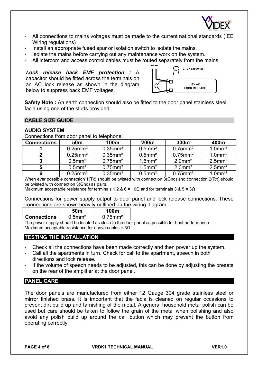

- All connections to mains voltages must be made to the current national standards (IEE) Wiring regulations)
- Install an appropriate fused spur or isolation switch to isolate the mains.
- Isolate the mains before carrying out any maintenance work on the system.
- All intercom and access control cables must be routed separately from the mains.

*Lock release back EMF protection :* A capacitor should be fitted across the terminals on an AC lock release as shown in the diagram below to suppress back EMF voltages.



**Safety Note :** An earth connection should also be fitted to the door panel stainless steel facia using one of the studs provided.

#### **CABLE SIZE GUIDE**

#### **AUDIO SYSTEM**

Connections from door panel to telephone.

| <b>Connections</b> | 50 <sub>m</sub>        | 100m                   | 200m                  | 300m                   | 400m                  |
|--------------------|------------------------|------------------------|-----------------------|------------------------|-----------------------|
|                    | $0.25$ mm <sup>2</sup> | $0.35$ mm <sup>2</sup> | $0.5$ mm <sup>2</sup> | $0.75$ mm <sup>2</sup> | $1.0$ mm <sup>2</sup> |
|                    | $0.25$ mm <sup>2</sup> | $0.35$ mm <sup>2</sup> | $0.5$ mm <sup>2</sup> | $0.75$ mm <sup>2</sup> | $1.0$ mm <sup>2</sup> |
|                    | $0.5$ mm <sup>2</sup>  | $0.75$ mm <sup>2</sup> | $1.5$ mm <sup>2</sup> | $2.0$ mm <sup>2</sup>  | $2.5$ mm <sup>2</sup> |
|                    | $0.5$ mm <sup>2</sup>  | $0.75$ mm <sup>2</sup> | $1.5$ mm <sup>2</sup> | $2.0$ mm <sup>2</sup>  | $2.5$ mm <sup>2</sup> |
| 6                  | $0.25$ mm <sup>2</sup> | $0.35$ mm <sup>2</sup> | $0.5$ mm <sup>2</sup> | $0.75$ mm <sup>2</sup> | $1.0$ mm <sup>2</sup> |

When ever possible connection 1(Tx) should be twisted with connection 3(Gnd) and connection 2(Rx) should be twisted with connection 3(Gnd) as pairs.

Maximum acceptable resistance for terminals 1,2 & 6 = 10 $\Omega$  and for terminals 3 & 5 = 3 $\Omega$ 

Connections for power supply output to door panel and lock release connections. These connections are shown heavily outlined on the wiring diagram.

|                    | 50 <sub>m</sub>       | 100m                   |  |
|--------------------|-----------------------|------------------------|--|
| <b>Connections</b> | $0.5$ mm <sup>2</sup> | $0.75$ mm <sup>2</sup> |  |
|                    |                       |                        |  |

The power supply should be located as close to the door panel as possible for best performance. Maximum acceptable resistance for above cables =  $3\Omega$ 

### **TESTING THE INSTALLATION**

- Check all the connections have been made correctly and then power up the system.
- Call all the apartments in turn. Check for call to the apartment, speech in both directions and lock release.
- If the volume of speech needs to be adjusted, this can be done by adjusting the presets on the rear of the amplifier at the door panel.

#### **PANEL CARE**

The door panels are manufactured from either 12 Gauge 304 grade stainless steel or mirror finished brass. It is important that the facia is cleaned on regular occasions to prevent dirt build up and tarnishing of the metal. A general household metal polish can be used but care should be taken to follow the grain of the metal when polishing and also avoid any polish build up around the call button which may prevent the button from operating correctly.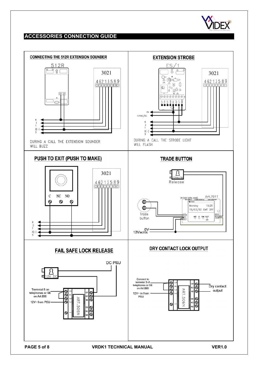

## **ACCESSORIES CONNECTION GUIDE**

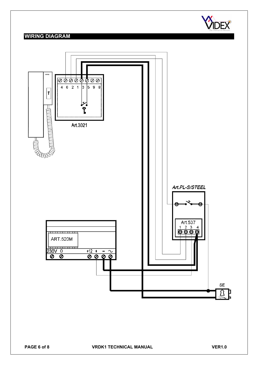

## **WIRING DIAGRAM**

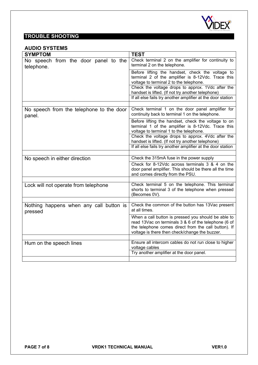

## **TROUBLE SHOOTING**

#### **AUDIO SYSTEMS**

| <b>SYMPTOM</b>                                     | <b>TEST</b>                                                                                                                                                                                                           |
|----------------------------------------------------|-----------------------------------------------------------------------------------------------------------------------------------------------------------------------------------------------------------------------|
| No speech from the door panel to the<br>telephone. | Check terminal 2 on the amplifier for continuity to<br>terminal 2 on the telephone.                                                                                                                                   |
|                                                    | Before lifting the handset, check the voltage to<br>terminal 2 of the amplifier is 8-12Vdc. Trace this<br>voltage to terminal 2 to the telephone.                                                                     |
|                                                    | Check the voltage drops to approx. 1Vdc after the<br>handset is lifted. (If not try another telephone)<br>If all else fails try another amplifier at the door station                                                 |
|                                                    |                                                                                                                                                                                                                       |
| No speech from the telephone to the door<br>panel. | Check terminal 1 on the door panel amplifier for<br>continuity back to terminal 1 on the telephone.                                                                                                                   |
|                                                    | Before lifting the handset, check the voltage to on<br>terminal 1 of the amplifier is 8-12Vdc. Trace this<br>voltage to terminal 1 to the telephone.                                                                  |
|                                                    | Check the voltage drops to approx. 4Vdc after the<br>handset is lifted. (If not try another telephone)                                                                                                                |
|                                                    | If all else fails try another amplifier at the door station                                                                                                                                                           |
| No speech in either direction                      | Check the 315mA fuse in the power supply                                                                                                                                                                              |
|                                                    | Check for 8-12Vdc across terminals 3 & 4 on the<br>door panel amplifier. This should be there all the time<br>and comes directly from the PSU.                                                                        |
|                                                    |                                                                                                                                                                                                                       |
| Lock will not operate from telephone               | Check terminal 5 on the telephone. This terminal<br>shorts to terminal 3 of the telephone when pressed<br>(Becomes 0V).                                                                                               |
|                                                    |                                                                                                                                                                                                                       |
| Nothing happens when any call button is<br>pressed | Check the common of the button has 13Vac present<br>at all times.                                                                                                                                                     |
|                                                    | When a call button is pressed you should be able to<br>read 13Vac on terminals 3 & 6 of the telephone (6 of<br>the telephone comes direct from the call button). If<br>voltage is there then check/change the buzzer. |
| Hum on the speech lines                            | Ensure all intercom cables do not run close to higher<br>voltage cables                                                                                                                                               |
|                                                    | Try another amplifier at the door panel.                                                                                                                                                                              |
|                                                    |                                                                                                                                                                                                                       |